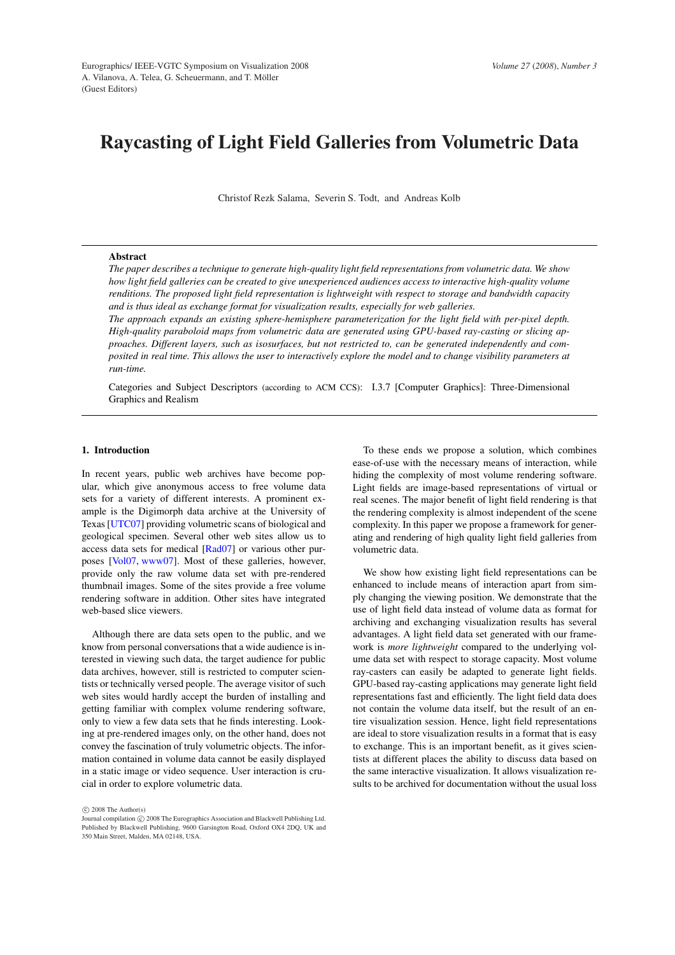# Raycasting of Light Field Galleries from Volumetric Data

Christof Rezk Salama, Severin S. Todt, and Andreas Kolb

#### Abstract

*The paper describes a technique to generate high-quality light field representations from volumetric data. We show how light field galleries can be created to give unexperienced audiences access to interactive high-quality volume renditions. The proposed light field representation is lightweight with respect to storage and bandwidth capacity and is thus ideal as exchange format for visualization results, especially for web galleries.*

*The approach expands an existing sphere-hemisphere parameterization for the light field with per-pixel depth. High-quality paraboloid maps from volumetric data are generated using GPU-based ray-casting or slicing approaches. Different layers, such as isosurfaces, but not restricted to, can be generated independently and composited in real time. This allows the user to interactively explore the model and to change visibility parameters at run-time.*

Categories and Subject Descriptors (according to ACM CCS): I.3.7 [Computer Graphics]: Three-Dimensional Graphics and Realism

#### 1. Introduction

In recent years, public web archives have become popular, which give anonymous access to free volume data sets for a variety of different interests. A prominent example is the Digimorph data archive at the University of Texas [UTC07] providing volumetric scans of biological and geological specimen. Several other web sites allow us to access data sets for medical [Rad07] or various other purposes [Vol07, www07]. Most of these galleries, however, provide only the raw volume data set with pre-rendered thumbnail images. Some of the sites provide a free volume rendering software in addition. Other sites have integrated web-based slice viewers.

Although there are data sets open to the public, and we know from personal conversations that a wide audience is interested in viewing such data, the target audience for public data archives, however, still is restricted to computer scientists or technically versed people. The average visitor of such web sites would hardly accept the burden of installing and getting familiar with complex volume rendering software, only to view a few data sets that he finds interesting. Looking at pre-rendered images only, on the other hand, does not convey the fascination of truly volumetric objects. The information contained in volume data cannot be easily displayed in a static image or video sequence. User interaction is crucial in order to explore volumetric data.

°c 2008 The Author(s)

To these ends we propose a solution, which combines ease-of-use with the necessary means of interaction, while hiding the complexity of most volume rendering software. Light fields are image-based representations of virtual or real scenes. The major benefit of light field rendering is that the rendering complexity is almost independent of the scene complexity. In this paper we propose a framework for generating and rendering of high quality light field galleries from volumetric data.

We show how existing light field representations can be enhanced to include means of interaction apart from simply changing the viewing position. We demonstrate that the use of light field data instead of volume data as format for archiving and exchanging visualization results has several advantages. A light field data set generated with our framework is *more lightweight* compared to the underlying volume data set with respect to storage capacity. Most volume ray-casters can easily be adapted to generate light fields. GPU-based ray-casting applications may generate light field representations fast and efficiently. The light field data does not contain the volume data itself, but the result of an entire visualization session. Hence, light field representations are ideal to store visualization results in a format that is easy to exchange. This is an important benefit, as it gives scientists at different places the ability to discuss data based on the same interactive visualization. It allows visualization results to be archived for documentation without the usual loss

Journal compilation  $\overline{c}$  2008 The Eurographics Association and Blackwell Publishing Ltd. Published by Blackwell Publishing, 9600 Garsington Road, Oxford OX4 2DQ, UK and 350 Main Street, Malden, MA 02148, USA.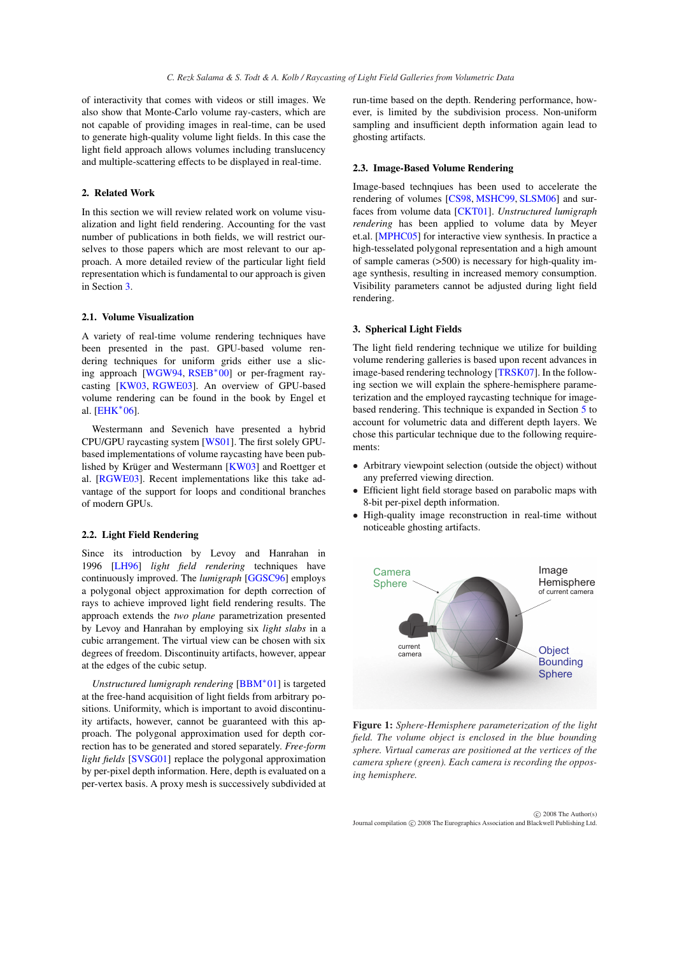of interactivity that comes with videos or still images. We also show that Monte-Carlo volume ray-casters, which are not capable of providing images in real-time, can be used to generate high-quality volume light fields. In this case the light field approach allows volumes including translucency and multiple-scattering effects to be displayed in real-time.

# 2. Related Work

In this section we will review related work on volume visualization and light field rendering. Accounting for the vast number of publications in both fields, we will restrict ourselves to those papers which are most relevant to our approach. A more detailed review of the particular light field representation which is fundamental to our approach is given in Section 3.

## 2.1. Volume Visualization

A variety of real-time volume rendering techniques have been presented in the past. GPU-based volume rendering techniques for uniform grids either use a slicing approach [WGW94, RSEB<sup>∗</sup> 00] or per-fragment raycasting [KW03, RGWE03]. An overview of GPU-based volume rendering can be found in the book by Engel et al. [EHK<sup>\*</sup>06].

Westermann and Sevenich have presented a hybrid CPU/GPU raycasting system [WS01]. The first solely GPUbased implementations of volume raycasting have been published by Krüger and Westermann [KW03] and Roettger et al. [RGWE03]. Recent implementations like this take advantage of the support for loops and conditional branches of modern GPUs.

## 2.2. Light Field Rendering

Since its introduction by Levoy and Hanrahan in 1996 [LH96] *light field rendering* techniques have continuously improved. The *lumigraph* [GGSC96] employs a polygonal object approximation for depth correction of rays to achieve improved light field rendering results. The approach extends the *two plane* parametrization presented by Levoy and Hanrahan by employing six *light slabs* in a cubic arrangement. The virtual view can be chosen with six degrees of freedom. Discontinuity artifacts, however, appear at the edges of the cubic setup.

*Unstructured lumigraph rendering* [BBM<sup>∗</sup> 01] is targeted at the free-hand acquisition of light fields from arbitrary positions. Uniformity, which is important to avoid discontinuity artifacts, however, cannot be guaranteed with this approach. The polygonal approximation used for depth correction has to be generated and stored separately. *Free-form light fields* [SVSG01] replace the polygonal approximation by per-pixel depth information. Here, depth is evaluated on a per-vertex basis. A proxy mesh is successively subdivided at run-time based on the depth. Rendering performance, however, is limited by the subdivision process. Non-uniform sampling and insufficient depth information again lead to ghosting artifacts.

## 2.3. Image-Based Volume Rendering

Image-based technqiues has been used to accelerate the rendering of volumes [CS98, MSHC99, SLSM06] and surfaces from volume data [CKT01]. *Unstructured lumigraph rendering* has been applied to volume data by Meyer et.al. [MPHC05] for interactive view synthesis. In practice a high-tesselated polygonal representation and a high amount of sample cameras (>500) is necessary for high-quality image synthesis, resulting in increased memory consumption. Visibility parameters cannot be adjusted during light field rendering.

## 3. Spherical Light Fields

The light field rendering technique we utilize for building volume rendering galleries is based upon recent advances in image-based rendering technology [TRSK07]. In the following section we will explain the sphere-hemisphere parameterization and the employed raycasting technique for imagebased rendering. This technique is expanded in Section 5 to account for volumetric data and different depth layers. We chose this particular technique due to the following requirements:

- Arbitrary viewpoint selection (outside the object) without any preferred viewing direction.
- Efficient light field storage based on parabolic maps with 8-bit per-pixel depth information.
- High-quality image reconstruction in real-time without noticeable ghosting artifacts.



Figure 1: *Sphere-Hemisphere parameterization of the light field. The volume object is enclosed in the blue bounding sphere. Virtual cameras are positioned at the vertices of the camera sphere (green). Each camera is recording the opposing hemisphere.*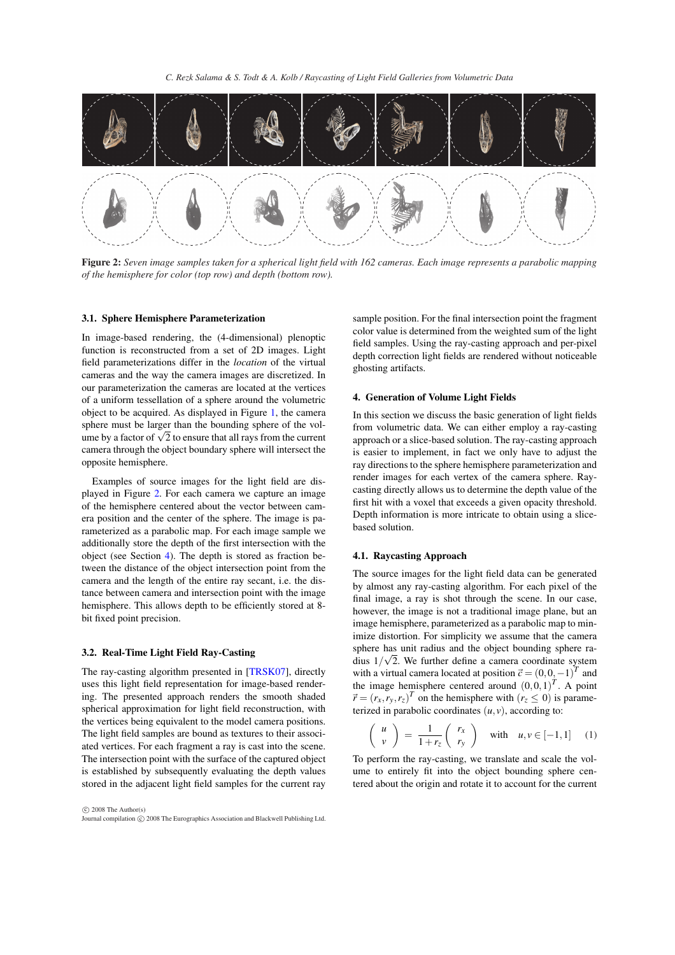

Figure 2: *Seven image samples taken for a spherical light field with 162 cameras. Each image represents a parabolic mapping of the hemisphere for color (top row) and depth (bottom row).*

## 3.1. Sphere Hemisphere Parameterization

In image-based rendering, the (4-dimensional) plenoptic function is reconstructed from a set of 2D images. Light field parameterizations differ in the *location* of the virtual cameras and the way the camera images are discretized. In our parameterization the cameras are located at the vertices of a uniform tessellation of a sphere around the volumetric object to be acquired. As displayed in Figure 1, the camera sphere must be larger than the bounding sphere of the volsphere must be larger than the bounding sphere of the volume by a factor of  $\sqrt{2}$  to ensure that all rays from the current camera through the object boundary sphere will intersect the opposite hemisphere.

Examples of source images for the light field are displayed in Figure 2. For each camera we capture an image of the hemisphere centered about the vector between camera position and the center of the sphere. The image is parameterized as a parabolic map. For each image sample we additionally store the depth of the first intersection with the object (see Section 4). The depth is stored as fraction between the distance of the object intersection point from the camera and the length of the entire ray secant, i.e. the distance between camera and intersection point with the image hemisphere. This allows depth to be efficiently stored at 8 bit fixed point precision.

## 3.2. Real-Time Light Field Ray-Casting

The ray-casting algorithm presented in [TRSK07], directly uses this light field representation for image-based rendering. The presented approach renders the smooth shaded spherical approximation for light field reconstruction, with the vertices being equivalent to the model camera positions. The light field samples are bound as textures to their associated vertices. For each fragment a ray is cast into the scene. The intersection point with the surface of the captured object is established by subsequently evaluating the depth values stored in the adjacent light field samples for the current ray

°c 2008 The Author(s) Journal compilation  $\ddot{\odot}$  2008 The Eurographics Association and Blackwell Publishing Ltd. sample position. For the final intersection point the fragment color value is determined from the weighted sum of the light field samples. Using the ray-casting approach and per-pixel depth correction light fields are rendered without noticeable ghosting artifacts.

# 4. Generation of Volume Light Fields

In this section we discuss the basic generation of light fields from volumetric data. We can either employ a ray-casting approach or a slice-based solution. The ray-casting approach is easier to implement, in fact we only have to adjust the ray directions to the sphere hemisphere parameterization and render images for each vertex of the camera sphere. Raycasting directly allows us to determine the depth value of the first hit with a voxel that exceeds a given opacity threshold. Depth information is more intricate to obtain using a slicebased solution.

#### 4.1. Raycasting Approach

The source images for the light field data can be generated by almost any ray-casting algorithm. For each pixel of the final image, a ray is shot through the scene. In our case, however, the image is not a traditional image plane, but an image hemisphere, parameterized as a parabolic map to minimize distortion. For simplicity we assume that the camera sphere has unit radius and the object bounding sphere radius  $1/\sqrt{2}$ . We further define a camera coordinate system with a virtual camera located at position  $\vec{c} = (0,0,-1)^T$  and the image hemisphere centered around  $(0,0,1)^T$ . A point  $\vec{r} = (r_x, r_y, r_z)^T$  on the hemisphere with  $(r_z \le 0)$  is parameterized in parabolic coordinates  $(u, v)$ , according to:

$$
\begin{pmatrix} u \\ v \end{pmatrix} = \frac{1}{1+r_z} \begin{pmatrix} r_x \\ r_y \end{pmatrix} \text{ with } u, v \in [-1,1] \quad (1)
$$

To perform the ray-casting, we translate and scale the volume to entirely fit into the object bounding sphere centered about the origin and rotate it to account for the current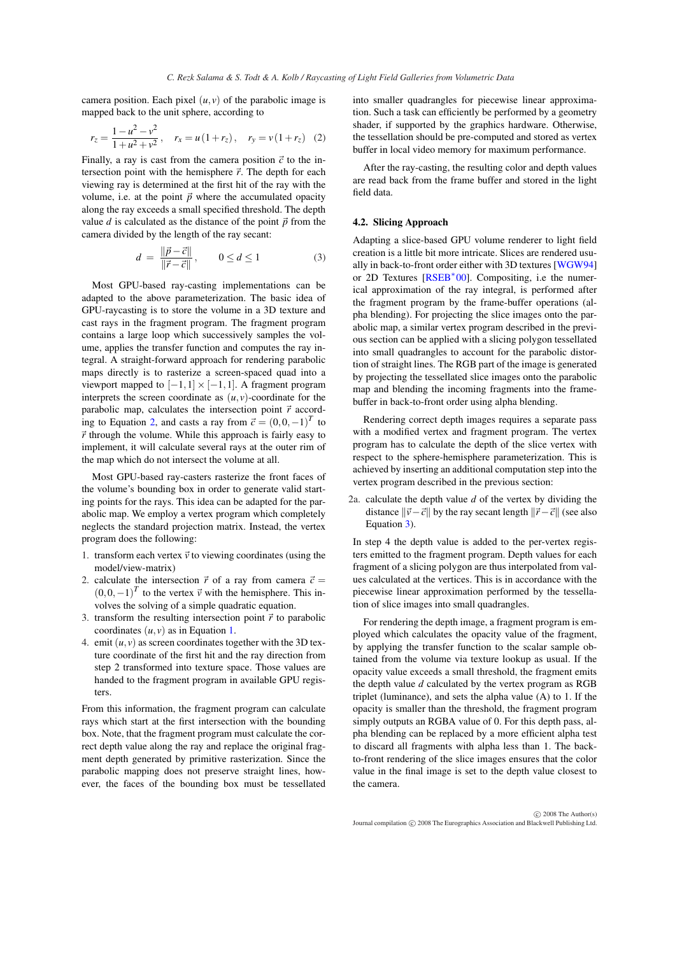camera position. Each pixel  $(u, v)$  of the parabolic image is mapped back to the unit sphere, according to

$$
r_z = \frac{1 - u^2 - v^2}{1 + u^2 + v^2}, \quad r_x = u(1 + r_z), \quad r_y = v(1 + r_z) \quad (2)
$$

Finally, a ray is cast from the camera position  $\vec{c}$  to the intersection point with the hemisphere  $\vec{r}$ . The depth for each viewing ray is determined at the first hit of the ray with the volume, i.e. at the point  $\vec{p}$  where the accumulated opacity along the ray exceeds a small specified threshold. The depth value *d* is calculated as the distance of the point  $\vec{p}$  from the camera divided by the length of the ray secant:

$$
d = \frac{\|\vec{p} - \vec{c}\|}{\|\vec{r} - \vec{c}\|}, \qquad 0 \le d \le 1
$$
 (3)

Most GPU-based ray-casting implementations can be adapted to the above parameterization. The basic idea of GPU-raycasting is to store the volume in a 3D texture and cast rays in the fragment program. The fragment program contains a large loop which successively samples the volume, applies the transfer function and computes the ray integral. A straight-forward approach for rendering parabolic maps directly is to rasterize a screen-spaced quad into a viewport mapped to  $[-1,1] \times [-1,1]$ . A fragment program interprets the screen coordinate as  $(u, v)$ -coordinate for the parabolic map, calculates the intersection point  $\vec{r}$  according to Equation 2, and casts a ray from  $\vec{c} = (0,0,-1)^T$  to  $\vec{r}$  through the volume. While this approach is fairly easy to implement, it will calculate several rays at the outer rim of the map which do not intersect the volume at all.

Most GPU-based ray-casters rasterize the front faces of the volume's bounding box in order to generate valid starting points for the rays. This idea can be adapted for the parabolic map. We employ a vertex program which completely neglects the standard projection matrix. Instead, the vertex program does the following:

- 1. transform each vertex  $\vec{v}$  to viewing coordinates (using the model/view-matrix)
- 2. calculate the intersection  $\vec{r}$  of a ray from camera  $\vec{c}$  =  $(0,0,-1)^T$  to the vertex  $\vec{v}$  with the hemisphere. This involves the solving of a simple quadratic equation.
- 3. transform the resulting intersection point  $\vec{r}$  to parabolic coordinates  $(u, v)$  as in Equation 1.
- 4. emit  $(u, v)$  as screen coordinates together with the 3D texture coordinate of the first hit and the ray direction from step 2 transformed into texture space. Those values are handed to the fragment program in available GPU registers.

From this information, the fragment program can calculate rays which start at the first intersection with the bounding box. Note, that the fragment program must calculate the correct depth value along the ray and replace the original fragment depth generated by primitive rasterization. Since the parabolic mapping does not preserve straight lines, however, the faces of the bounding box must be tessellated into smaller quadrangles for piecewise linear approximation. Such a task can efficiently be performed by a geometry shader, if supported by the graphics hardware. Otherwise, the tessellation should be pre-computed and stored as vertex buffer in local video memory for maximum performance.

After the ray-casting, the resulting color and depth values are read back from the frame buffer and stored in the light field data.

#### 4.2. Slicing Approach

Adapting a slice-based GPU volume renderer to light field creation is a little bit more intricate. Slices are rendered usually in back-to-front order either with 3D textures [WGW94] or 2D Textures [RSEB<sup>\*00</sup>]. Compositing, i.e the numerical approximation of the ray integral, is performed after the fragment program by the frame-buffer operations (alpha blending). For projecting the slice images onto the parabolic map, a similar vertex program described in the previous section can be applied with a slicing polygon tessellated into small quadrangles to account for the parabolic distortion of straight lines. The RGB part of the image is generated by projecting the tessellated slice images onto the parabolic map and blending the incoming fragments into the framebuffer in back-to-front order using alpha blending.

Rendering correct depth images requires a separate pass with a modified vertex and fragment program. The vertex program has to calculate the depth of the slice vertex with respect to the sphere-hemisphere parameterization. This is achieved by inserting an additional computation step into the vertex program described in the previous section:

2a. calculate the depth value *d* of the vertex by dividing the distance  $\|\vec{v}-\vec{c}\|$  by the ray secant length  $\|\vec{r}-\vec{c}\|$  (see also Equation 3).

In step 4 the depth value is added to the per-vertex registers emitted to the fragment program. Depth values for each fragment of a slicing polygon are thus interpolated from values calculated at the vertices. This is in accordance with the piecewise linear approximation performed by the tessellation of slice images into small quadrangles.

For rendering the depth image, a fragment program is employed which calculates the opacity value of the fragment, by applying the transfer function to the scalar sample obtained from the volume via texture lookup as usual. If the opacity value exceeds a small threshold, the fragment emits the depth value *d* calculated by the vertex program as RGB triplet (luminance), and sets the alpha value (A) to 1. If the opacity is smaller than the threshold, the fragment program simply outputs an RGBA value of 0. For this depth pass, alpha blending can be replaced by a more efficient alpha test to discard all fragments with alpha less than 1. The backto-front rendering of the slice images ensures that the color value in the final image is set to the depth value closest to the camera.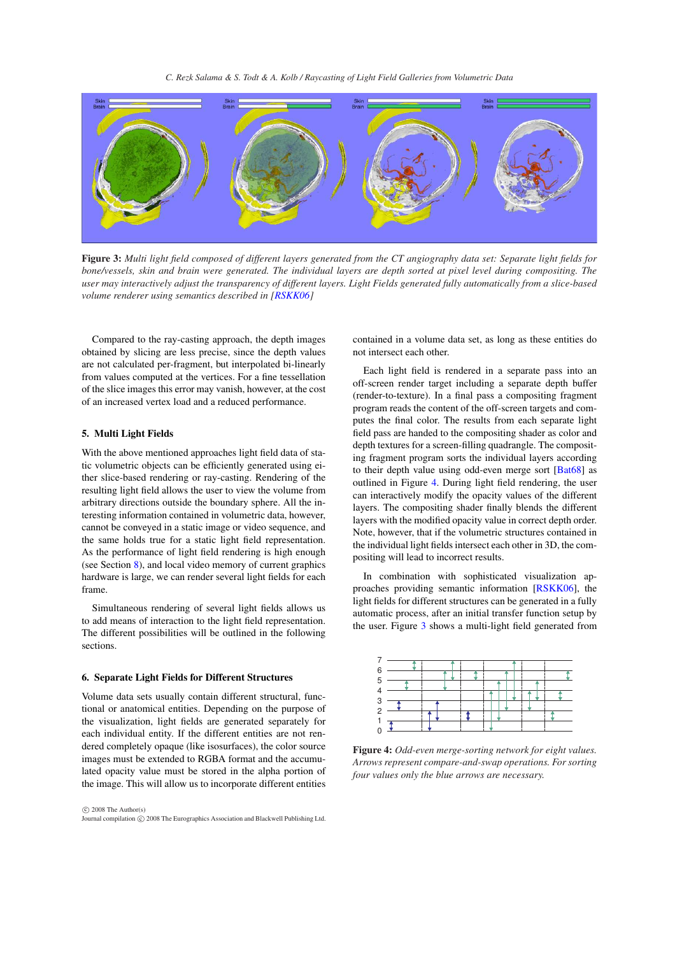#### *C. Rezk Salama & S. Todt & A. Kolb / Raycasting of Light Field Galleries from Volumetric Data*



Figure 3: *Multi light field composed of different layers generated from the CT angiography data set: Separate light fields for bone/vessels, skin and brain were generated. The individual layers are depth sorted at pixel level during compositing. The user may interactively adjust the transparency of different layers. Light Fields generated fully automatically from a slice-based volume renderer using semantics described in [RSKK06]*

Compared to the ray-casting approach, the depth images obtained by slicing are less precise, since the depth values are not calculated per-fragment, but interpolated bi-linearly from values computed at the vertices. For a fine tessellation of the slice images this error may vanish, however, at the cost of an increased vertex load and a reduced performance.

## 5. Multi Light Fields

With the above mentioned approaches light field data of static volumetric objects can be efficiently generated using either slice-based rendering or ray-casting. Rendering of the resulting light field allows the user to view the volume from arbitrary directions outside the boundary sphere. All the interesting information contained in volumetric data, however, cannot be conveyed in a static image or video sequence, and the same holds true for a static light field representation. As the performance of light field rendering is high enough (see Section 8), and local video memory of current graphics hardware is large, we can render several light fields for each frame.

Simultaneous rendering of several light fields allows us to add means of interaction to the light field representation. The different possibilities will be outlined in the following sections.

#### 6. Separate Light Fields for Different Structures

Volume data sets usually contain different structural, functional or anatomical entities. Depending on the purpose of the visualization, light fields are generated separately for each individual entity. If the different entities are not rendered completely opaque (like isosurfaces), the color source images must be extended to RGBA format and the accumulated opacity value must be stored in the alpha portion of the image. This will allow us to incorporate different entities

contained in a volume data set, as long as these entities do not intersect each other.

Each light field is rendered in a separate pass into an off-screen render target including a separate depth buffer (render-to-texture). In a final pass a compositing fragment program reads the content of the off-screen targets and computes the final color. The results from each separate light field pass are handed to the compositing shader as color and depth textures for a screen-filling quadrangle. The compositing fragment program sorts the individual layers according to their depth value using odd-even merge sort [Bat68] as outlined in Figure 4. During light field rendering, the user can interactively modify the opacity values of the different layers. The compositing shader finally blends the different layers with the modified opacity value in correct depth order. Note, however, that if the volumetric structures contained in the individual light fields intersect each other in 3D, the compositing will lead to incorrect results.

In combination with sophisticated visualization approaches providing semantic information [RSKK06], the light fields for different structures can be generated in a fully automatic process, after an initial transfer function setup by the user. Figure 3 shows a multi-light field generated from



Figure 4: *Odd-even merge-sorting network for eight values. Arrows represent compare-and-swap operations. For sorting four values only the blue arrows are necessary.*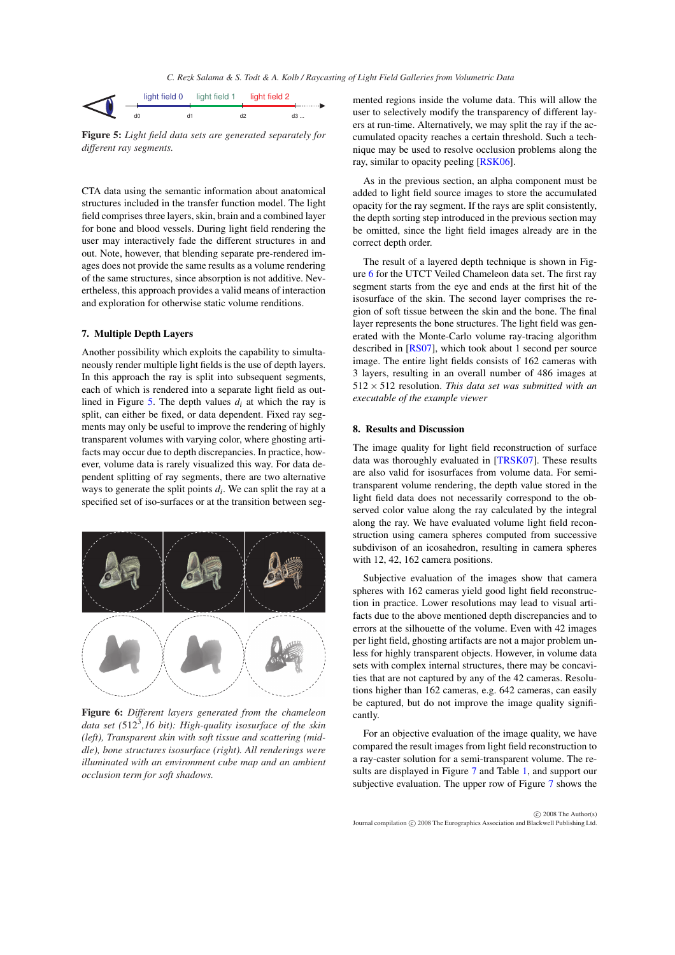*C. Rezk Salama & S. Todt & A. Kolb / Raycasting of Light Field Galleries from Volumetric Data*



Figure 5: *Light field data sets are generated separately for different ray segments.*

CTA data using the semantic information about anatomical structures included in the transfer function model. The light field comprises three layers, skin, brain and a combined layer for bone and blood vessels. During light field rendering the user may interactively fade the different structures in and out. Note, however, that blending separate pre-rendered images does not provide the same results as a volume rendering of the same structures, since absorption is not additive. Nevertheless, this approach provides a valid means of interaction and exploration for otherwise static volume renditions.

# 7. Multiple Depth Layers

Another possibility which exploits the capability to simultaneously render multiple light fields is the use of depth layers. In this approach the ray is split into subsequent segments, each of which is rendered into a separate light field as outlined in Figure 5. The depth values  $d_i$  at which the ray is split, can either be fixed, or data dependent. Fixed ray segments may only be useful to improve the rendering of highly transparent volumes with varying color, where ghosting artifacts may occur due to depth discrepancies. In practice, however, volume data is rarely visualized this way. For data dependent splitting of ray segments, there are two alternative ways to generate the split points *d<sup>i</sup>* . We can split the ray at a specified set of iso-surfaces or at the transition between seg-



Figure 6: *Different layers generated from the chameleon* data set (512<sup>3</sup>,16 bit): High-quality isosurface of the skin *(left), Transparent skin with soft tissue and scattering (middle), bone structures isosurface (right). All renderings were illuminated with an environment cube map and an ambient occlusion term for soft shadows.*

mented regions inside the volume data. This will allow the user to selectively modify the transparency of different layers at run-time. Alternatively, we may split the ray if the accumulated opacity reaches a certain threshold. Such a technique may be used to resolve occlusion problems along the ray, similar to opacity peeling [RSK06].

As in the previous section, an alpha component must be added to light field source images to store the accumulated opacity for the ray segment. If the rays are split consistently, the depth sorting step introduced in the previous section may be omitted, since the light field images already are in the correct depth order.

The result of a layered depth technique is shown in Figure 6 for the UTCT Veiled Chameleon data set. The first ray segment starts from the eye and ends at the first hit of the isosurface of the skin. The second layer comprises the region of soft tissue between the skin and the bone. The final layer represents the bone structures. The light field was generated with the Monte-Carlo volume ray-tracing algorithm described in [RS07], which took about 1 second per source image. The entire light fields consists of 162 cameras with 3 layers, resulting in an overall number of 486 images at 512 × 512 resolution. *This data set was submitted with an executable of the example viewer*

## 8. Results and Discussion

The image quality for light field reconstruction of surface data was thoroughly evaluated in [TRSK07]. These results are also valid for isosurfaces from volume data. For semitransparent volume rendering, the depth value stored in the light field data does not necessarily correspond to the observed color value along the ray calculated by the integral along the ray. We have evaluated volume light field reconstruction using camera spheres computed from successive subdivison of an icosahedron, resulting in camera spheres with 12, 42, 162 camera positions.

Subjective evaluation of the images show that camera spheres with 162 cameras yield good light field reconstruction in practice. Lower resolutions may lead to visual artifacts due to the above mentioned depth discrepancies and to errors at the silhouette of the volume. Even with 42 images per light field, ghosting artifacts are not a major problem unless for highly transparent objects. However, in volume data sets with complex internal structures, there may be concavities that are not captured by any of the 42 cameras. Resolutions higher than 162 cameras, e.g. 642 cameras, can easily be captured, but do not improve the image quality significantly.

For an objective evaluation of the image quality, we have compared the result images from light field reconstruction to a ray-caster solution for a semi-transparent volume. The results are displayed in Figure 7 and Table 1, and support our subjective evaluation. The upper row of Figure 7 shows the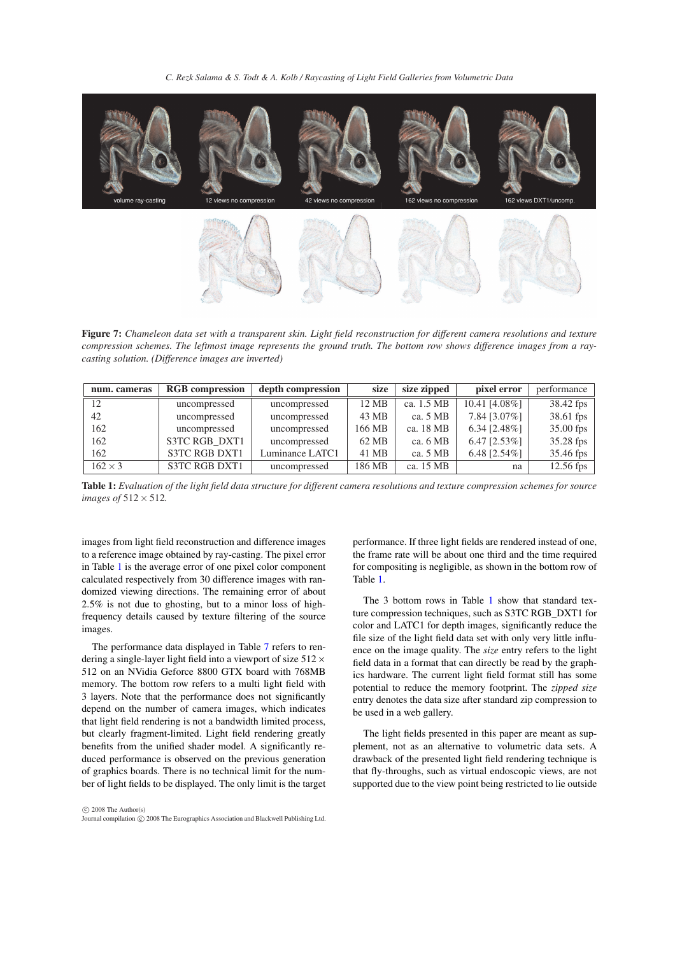*C. Rezk Salama & S. Todt & A. Kolb / Raycasting of Light Field Galleries from Volumetric Data*



Figure 7: *Chameleon data set with a transparent skin. Light field reconstruction for different camera resolutions and texture compression schemes. The leftmost image represents the ground truth. The bottom row shows difference images from a raycasting solution. (Difference images are inverted)*

| num. cameras   | <b>RGB</b> compression | depth compression | size   | size zipped        | pixel error     | performance |
|----------------|------------------------|-------------------|--------|--------------------|-----------------|-------------|
| 12             | uncompressed           | uncompressed      | 12 MB  | ca. 1.5 MB         | 10.41 [4.08%]   | 38.42 fps   |
| 42             | uncompressed           | uncompressed      | 43 MB  | ca. $5 \text{ MB}$ | 7.84 [3.07%]    | 38.61 fps   |
| 162            | uncompressed           | uncompressed      | 166 MB | ca. 18 MB          | 6.34 $[2.48\%]$ | 35.00 fps   |
| 162            | S3TC RGB DXT1          | uncompressed      | 62 MB  | ca. $6 MB$         | $6.47$ [2.53%]  | 35.28 fps   |
| 162            | <b>S3TC RGB DXT1</b>   | Luminance LATC1   | 41 MB  | ca. 5 MB           | 6.48 $[2.54\%]$ | 35.46 fps   |
| $162 \times 3$ | <b>S3TC RGB DXT1</b>   | uncompressed      | 186 MB | ca. 15 MB          | na              | 12.56 fps   |

Table 1: *Evaluation of the light field data structure for different camera resolutions and texture compression schemes for source images of* 512×512*.*

images from light field reconstruction and difference images to a reference image obtained by ray-casting. The pixel error in Table 1 is the average error of one pixel color component calculated respectively from 30 difference images with randomized viewing directions. The remaining error of about 2.5% is not due to ghosting, but to a minor loss of highfrequency details caused by texture filtering of the source images.

The performance data displayed in Table 7 refers to rendering a single-layer light field into a viewport of size  $512 \times$ 512 on an NVidia Geforce 8800 GTX board with 768MB memory. The bottom row refers to a multi light field with 3 layers. Note that the performance does not significantly depend on the number of camera images, which indicates that light field rendering is not a bandwidth limited process, but clearly fragment-limited. Light field rendering greatly benefits from the unified shader model. A significantly reduced performance is observed on the previous generation of graphics boards. There is no technical limit for the number of light fields to be displayed. The only limit is the target performance. If three light fields are rendered instead of one, the frame rate will be about one third and the time required for compositing is negligible, as shown in the bottom row of Table 1.

The 3 bottom rows in Table 1 show that standard texture compression techniques, such as S3TC RGB\_DXT1 for color and LATC1 for depth images, significantly reduce the file size of the light field data set with only very little influence on the image quality. The *size* entry refers to the light field data in a format that can directly be read by the graphics hardware. The current light field format still has some potential to reduce the memory footprint. The *zipped size* entry denotes the data size after standard zip compression to be used in a web gallery.

The light fields presented in this paper are meant as supplement, not as an alternative to volumetric data sets. A drawback of the presented light field rendering technique is that fly-throughs, such as virtual endoscopic views, are not supported due to the view point being restricted to lie outside

<sup>°</sup>c 2008 The Author(s) Journal compilation  $\ddot{\odot}$  2008 The Eurographics Association and Blackwell Publishing Ltd.